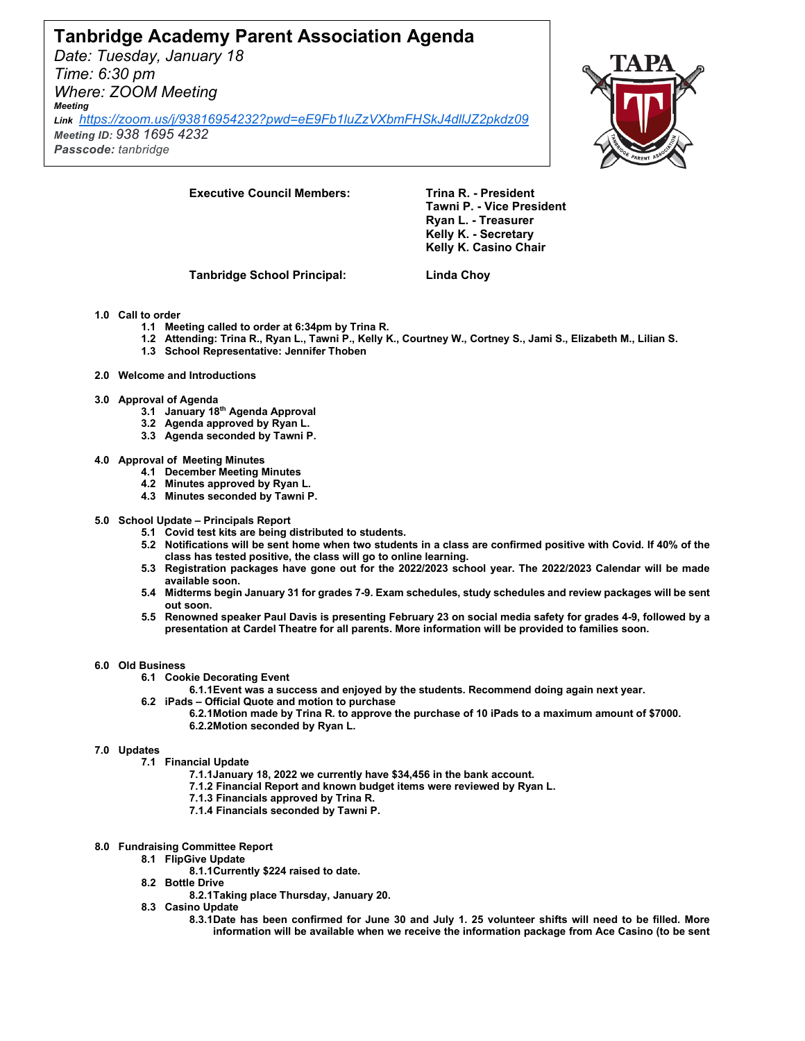# **Tanbridge Academy Parent Association Agenda**

*Date: Tuesday, January 18 Time: 6:30 pm Where: ZOOM Meeting Meeting* 

*Link <https://zoom.us/j/93816954232?pwd=eE9Fb1luZzVXbmFHSkJ4dllJZ2pkdz09> Meeting ID: 938 1695 4232*

*Passcode: tanbridge*



**Executive Council Members: Trina R. - President** 

**Tawni P. - Vice President Ryan L. - Treasurer Kelly K. - Secretary Kelly K. Casino Chair**

**Tanbridge School Principal: Linda Choy**

## **1.0 Call to order**

- **1.1 Meeting called to order at 6:34pm by Trina R.**
- **1.2 Attending: Trina R., Ryan L., Tawni P., Kelly K., Courtney W., Cortney S., Jami S., Elizabeth M., Lilian S.**
- **1.3 School Representative: Jennifer Thoben**
- **2.0 Welcome and Introductions**

### **3.0 Approval of Agenda**

- **3.1 January 18th Agenda Approval**
- **3.2 Agenda approved by Ryan L.**
- **3.3 Agenda seconded by Tawni P.**
- **4.0 Approval of Meeting Minutes**
	- **4.1 December Meeting Minutes**
	- **4.2 Minutes approved by Ryan L.**
	- **4.3 Minutes seconded by Tawni P.**
- **5.0 School Update – Principals Report**
	- **5.1 Covid test kits are being distributed to students.**
	- **5.2 Notifications will be sent home when two students in a class are confirmed positive with Covid. If 40% of the class has tested positive, the class will go to online learning.**
	- **5.3 Registration packages have gone out for the 2022/2023 school year. The 2022/2023 Calendar will be made available soon.**
	- **5.4 Midterms begin January 31 for grades 7-9. Exam schedules, study schedules and review packages will be sent out soon.**
	- **5.5 Renowned speaker Paul Davis is presenting February 23 on social media safety for grades 4-9, followed by a presentation at Cardel Theatre for all parents. More information will be provided to families soon.**

#### **6.0 Old Business**

- **6.1 Cookie Decorating Event**
	- **6.1.1Event was a success and enjoyed by the students. Recommend doing again next year.**
- **6.2 iPads – Official Quote and motion to purchase 6.2.1Motion made by Trina R. to approve the purchase of 10 iPads to a maximum amount of \$7000. 6.2.2Motion seconded by Ryan L.**

#### **7.0 Updates**

- **7.1 Financial Update**
	- **7.1.1January 18, 2022 we currently have \$34,456 in the bank account.**
	- **7.1.2 Financial Report and known budget items were reviewed by Ryan L.**
	- **7.1.3 Financials approved by Trina R.**
	- **7.1.4 Financials seconded by Tawni P.**

### **8.0 Fundraising Committee Report**

- **8.1 FlipGive Update**
	- **8.1.1Currently \$224 raised to date.**
- **8.2 Bottle Drive**
	- **8.2.1Taking place Thursday, January 20.**
- **8.3 Casino Update**
	- **8.3.1Date has been confirmed for June 30 and July 1. 25 volunteer shifts will need to be filled. More information will be available when we receive the information package from Ace Casino (to be sent**